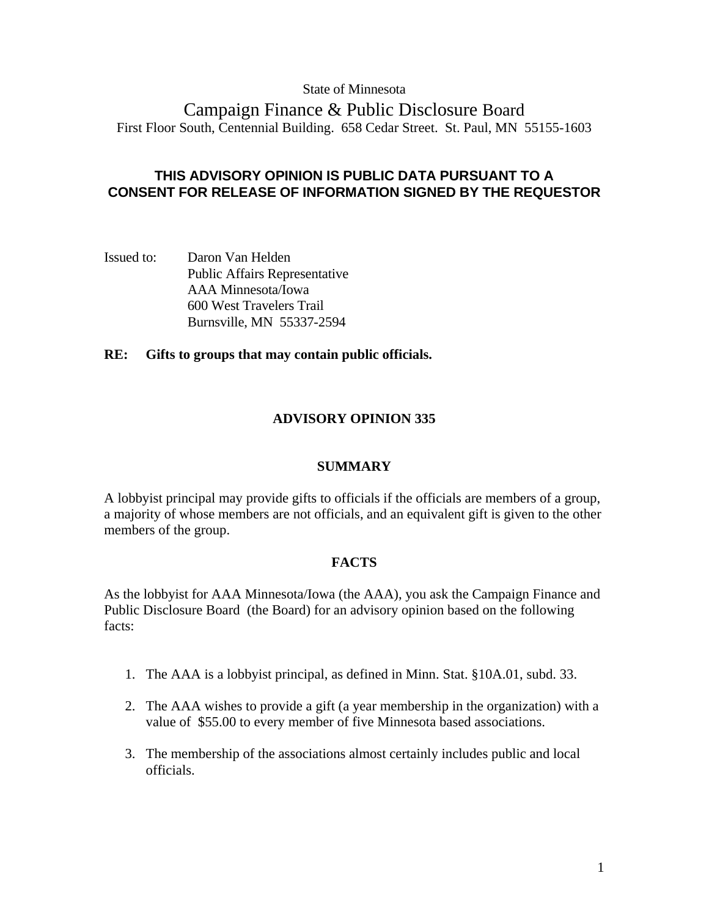# State of Minnesota

Campaign Finance & Public Disclosure Board First Floor South, Centennial Building. 658 Cedar Street. St. Paul, MN 55155-1603

# **THIS ADVISORY OPINION IS PUBLIC DATA PURSUANT TO A CONSENT FOR RELEASE OF INFORMATION SIGNED BY THE REQUESTOR**

Issued to: Daron Van Helden Public Affairs Representative AAA Minnesota/Iowa 600 West Travelers Trail Burnsville, MN 55337-2594

# **RE: Gifts to groups that may contain public officials.**

# **ADVISORY OPINION 335**

### **SUMMARY**

A lobbyist principal may provide gifts to officials if the officials are members of a group, a majority of whose members are not officials, and an equivalent gift is given to the other members of the group.

### **FACTS**

As the lobbyist for AAA Minnesota/Iowa (the AAA), you ask the Campaign Finance and Public Disclosure Board (the Board) for an advisory opinion based on the following facts:

- 1. The AAA is a lobbyist principal, as defined in Minn. Stat. §10A.01, subd. 33.
- 2. The AAA wishes to provide a gift (a year membership in the organization) with a value of \$55.00 to every member of five Minnesota based associations.
- 3. The membership of the associations almost certainly includes public and local officials.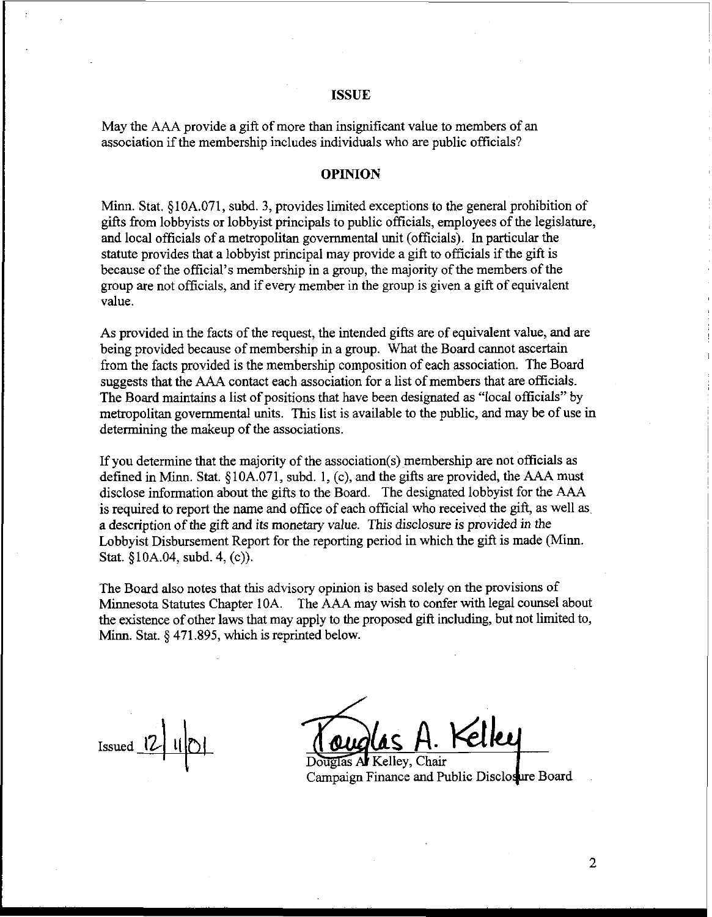### ISSUE

May the **AAA** provide a gift of more than insignificant value to members of an association if the membership includes individuals who are public officials?

### OPINION

Minn. Stat. 510A.071, subd. **3,** provides limited exceptions to the general prohibition of gifts from lobbyists or lobbyist principals to public officials, employees of the legislature, and local officials of a metropolitan governmental unit (officials). In particular the statute provides that a lobbyist principal may provide a gift to officials if the gift is because of the official's membership in a group, the majority of the members of the group are not officials, and if every member in the group is given a gift of equivalent value.

As provided in the facts of the request, the intended gifts are of equivalent value, and are being provided because of membership in a group. What the Board cannot ascertain from the facts provided is the membership composition of each association. The Board suggests that the AAA contact each association for a list of members that are officials. The Board maintains a list of positions that have been designated as "local officials" by metropolitan governmental units. This list is available to the public, and may be of use in determining the makeup of the associations.

If you determine that the majority of the association(s) membership are not officials as defined in Minn. Stat.  $$10A.071$ , subd. 1, (c), and the gifts are provided, the AAA must disclose information about the gifts to the Board. The designated lobbyist for the AAA is required to report the name and office of each official who received the gift, as well as a description of the gift and its monetary value. This disclosure is provided in the Lobbyist Disbursement Report for the reporting period in which the gift is made (Minn. Stat. §10A.04, subd. 4, (c)).

The Board also notes that this advisory opinion is based solely on the provisions of Minnesota Statutes Chapter 10A. The **AAA** may wish to confer with legal counsel about the existence of other laws that may apply to the proposed gift including, but not limited to, Minn. Stat. *5* 471.895, which is reprinted below.

Issued  $12$ 

رہ[[مک

Kelley, Chair Campaign Finance and Public Disclosure Board.

 $\overline{2}$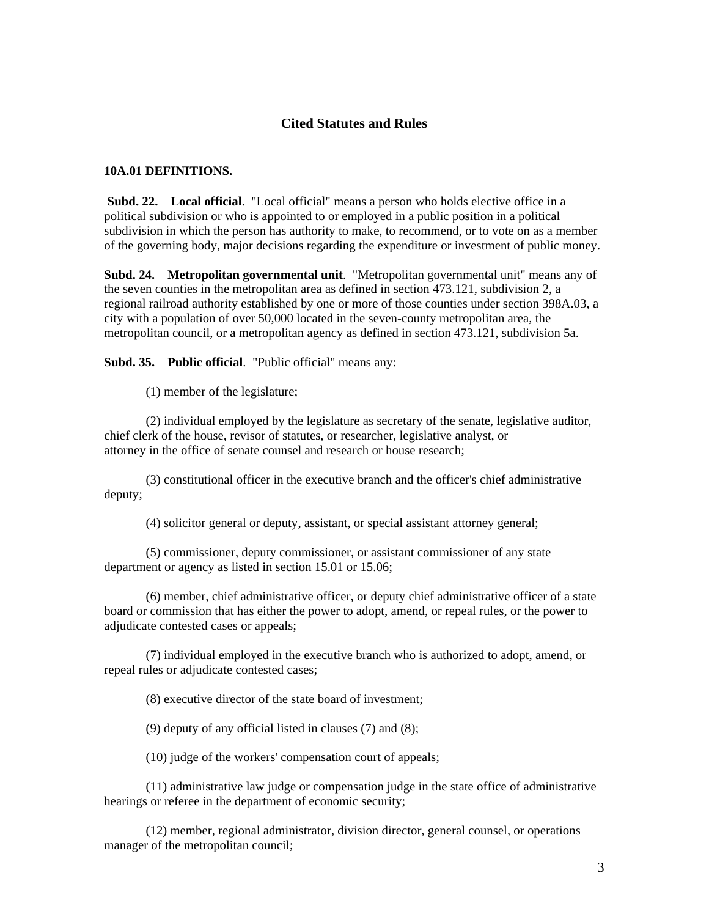## **Cited Statutes and Rules**

#### **10A.01 DEFINITIONS.**

 **Subd. 22. Local official**. "Local official" means a person who holds elective office in a political subdivision or who is appointed to or employed in a public position in a political subdivision in which the person has authority to make, to recommend, or to vote on as a member of the governing body, major decisions regarding the expenditure or investment of public money.

**Subd. 24. Metropolitan governmental unit**. "Metropolitan governmental unit" means any of the seven counties in the metropolitan area as defined in section 473.121, subdivision 2, a regional railroad authority established by one or more of those counties under section 398A.03, a city with a population of over 50,000 located in the seven-county metropolitan area, the metropolitan council, or a metropolitan agency as defined in section 473.121, subdivision 5a.

**Subd. 35. Public official**. "Public official" means any:

(1) member of the legislature;

 (2) individual employed by the legislature as secretary of the senate, legislative auditor, chief clerk of the house, revisor of statutes, or researcher, legislative analyst, or attorney in the office of senate counsel and research or house research;

 (3) constitutional officer in the executive branch and the officer's chief administrative deputy;

(4) solicitor general or deputy, assistant, or special assistant attorney general;

 (5) commissioner, deputy commissioner, or assistant commissioner of any state department or agency as listed in section 15.01 or 15.06;

 (6) member, chief administrative officer, or deputy chief administrative officer of a state board or commission that has either the power to adopt, amend, or repeal rules, or the power to adjudicate contested cases or appeals;

 (7) individual employed in the executive branch who is authorized to adopt, amend, or repeal rules or adjudicate contested cases;

(8) executive director of the state board of investment;

(9) deputy of any official listed in clauses (7) and (8);

(10) judge of the workers' compensation court of appeals;

 (11) administrative law judge or compensation judge in the state office of administrative hearings or referee in the department of economic security;

 (12) member, regional administrator, division director, general counsel, or operations manager of the metropolitan council;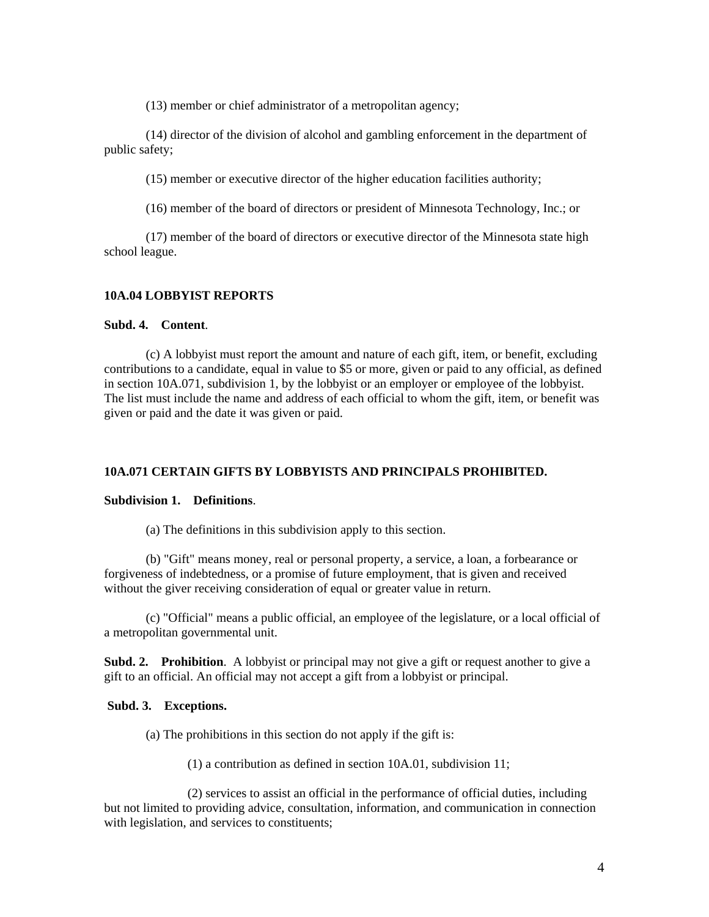(13) member or chief administrator of a metropolitan agency;

 (14) director of the division of alcohol and gambling enforcement in the department of public safety;

(15) member or executive director of the higher education facilities authority;

(16) member of the board of directors or president of Minnesota Technology, Inc.; or

 (17) member of the board of directors or executive director of the Minnesota state high school league.

## **10A.04 LOBBYIST REPORTS**

### **Subd. 4. Content**.

 (c) A lobbyist must report the amount and nature of each gift, item, or benefit, excluding contributions to a candidate, equal in value to \$5 or more, given or paid to any official, as defined in section 10A.071, subdivision 1, by the lobbyist or an employer or employee of the lobbyist. The list must include the name and address of each official to whom the gift, item, or benefit was given or paid and the date it was given or paid.

### **10A.071 CERTAIN GIFTS BY LOBBYISTS AND PRINCIPALS PROHIBITED.**

#### **Subdivision 1. Definitions**.

(a) The definitions in this subdivision apply to this section.

 (b) "Gift" means money, real or personal property, a service, a loan, a forbearance or forgiveness of indebtedness, or a promise of future employment, that is given and received without the giver receiving consideration of equal or greater value in return.

 (c) "Official" means a public official, an employee of the legislature, or a local official of a metropolitan governmental unit.

**Subd. 2. Prohibition**. A lobbyist or principal may not give a gift or request another to give a gift to an official. An official may not accept a gift from a lobbyist or principal.

#### **Subd. 3. Exceptions.**

(a) The prohibitions in this section do not apply if the gift is:

(1) a contribution as defined in section 10A.01, subdivision 11;

 (2) services to assist an official in the performance of official duties, including but not limited to providing advice, consultation, information, and communication in connection with legislation, and services to constituents;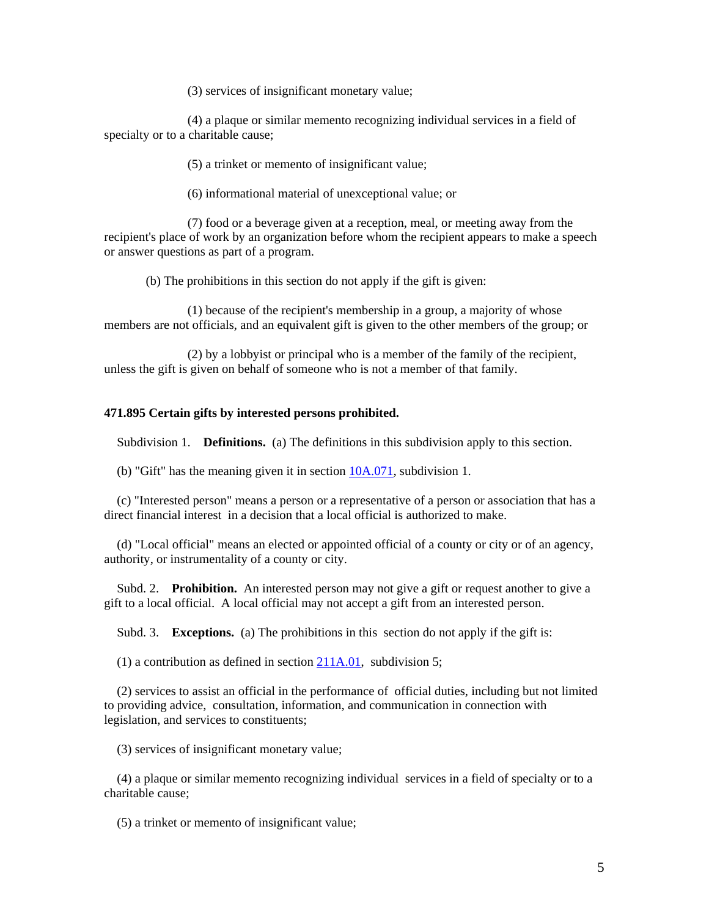(3) services of insignificant monetary value;

 (4) a plaque or similar memento recognizing individual services in a field of specialty or to a charitable cause;

(5) a trinket or memento of insignificant value;

(6) informational material of unexceptional value; or

 (7) food or a beverage given at a reception, meal, or meeting away from the recipient's place of work by an organization before whom the recipient appears to make a speech or answer questions as part of a program.

(b) The prohibitions in this section do not apply if the gift is given:

 (1) because of the recipient's membership in a group, a majority of whose members are not officials, and an equivalent gift is given to the other members of the group; or

 (2) by a lobbyist or principal who is a member of the family of the recipient, unless the gift is given on behalf of someone who is not a member of that family.

#### **471.895 Certain gifts by interested persons prohibited.**

Subdivision 1. **Definitions.** (a) The definitions in this subdivision apply to this section.

(b) "Gift" has the meaning given it in section  $10A.071$ , subdivision 1.

 (c) "Interested person" means a person or a representative of a person or association that has a direct financial interest in a decision that a local official is authorized to make.

 (d) "Local official" means an elected or appointed official of a county or city or of an agency, authority, or instrumentality of a county or city.

 Subd. 2. **Prohibition.** An interested person may not give a gift or request another to give a gift to a local official. A local official may not accept a gift from an interested person.

Subd. 3. **Exceptions.** (a) The prohibitions in this section do not apply if the gift is:

(1) a contribution as defined in section  $211A.01$ , subdivision 5;

 (2) services to assist an official in the performance of official duties, including but not limited to providing advice, consultation, information, and communication in connection with legislation, and services to constituents;

(3) services of insignificant monetary value;

 (4) a plaque or similar memento recognizing individual services in a field of specialty or to a charitable cause;

(5) a trinket or memento of insignificant value;